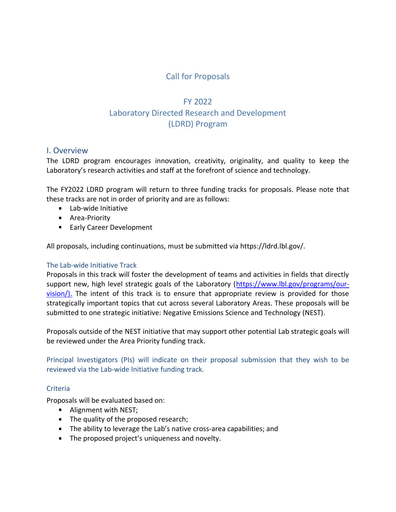# Call for Proposals

# FY 2022 Laboratory Directed Research and Development (LDRD) Program

### I. Overview

The LDRD program encourages innovation, creativity, originality, and quality to keep the Laboratory's research activities and staff at the forefront of science and technology.

The FY2022 LDRD program will return to three funding tracks for proposals. Please note that these tracks are not in order of priority and are as follows:

- **Lab-wide Initiative**
- **Area-Priority**
- **Early Career Development**

All proposals, including continuations, must be submitted via https://ldrd.lbl.gov/.

#### The Lab-wide Initiative Track

Proposals in this track will foster the development of teams and activities in fields that directly support new, high level strategic goals of the Laboratory [\(https://www.lbl.gov/programs/our](https://www.lbl.gov/programs/our-vision/)[vision/\).](https://www.lbl.gov/programs/our-vision/) The intent of this track is to ensure that appropriate review is provided for those strategically important topics that cut across several Laboratory Areas. These proposals will be submitted to one strategic initiative: Negative Emissions Science and Technology (NEST).

Proposals outside of the NEST initiative that may support other potential Lab strategic goals will be reviewed under the Area Priority funding track.

Principal Investigators (PIs) will indicate on their proposal submission that they wish to be reviewed via the Lab-wide Initiative funding track.

#### Criteria

Proposals will be evaluated based on:

- **Alignment with NEST;**
- The quality of the proposed research;
- **The ability to leverage the Lab's native cross-area capabilities; and**
- The proposed project's uniqueness and novelty.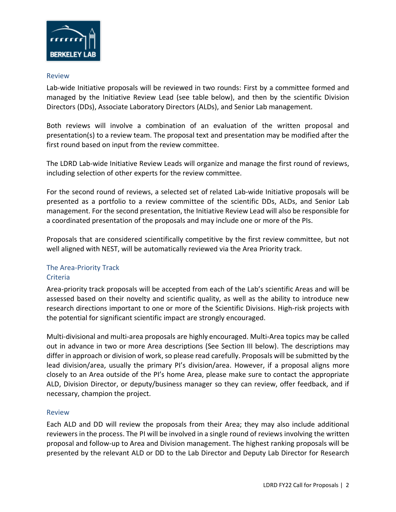

#### Review

Lab-wide Initiative proposals will be reviewed in two rounds: First by a committee formed and managed by the Initiative Review Lead (see table below), and then by the scientific Division Directors (DDs), Associate Laboratory Directors (ALDs), and Senior Lab management.

Both reviews will involve a combination of an evaluation of the written proposal and presentation(s) to a review team. The proposal text and presentation may be modified after the first round based on input from the review committee.

The LDRD Lab-wide Initiative Review Leads will organize and manage the first round of reviews, including selection of other experts for the review committee.

For the second round of reviews, a selected set of related Lab-wide Initiative proposals will be presented as a portfolio to a review committee of the scientific DDs, ALDs, and Senior Lab management. For the second presentation, the Initiative Review Lead will also be responsible for a coordinated presentation of the proposals and may include one or more of the PIs.

Proposals that are considered scientifically competitive by the first review committee, but not well aligned with NEST, will be automatically reviewed via the Area Priority track.

#### The Area-Priority Track Criteria

Area-priority track proposals will be accepted from each of the Lab's scientific Areas and will be assessed based on their novelty and scientific quality, as well as the ability to introduce new research directions important to one or more of the Scientific Divisions. High-risk projects with the potential for significant scientific impact are strongly encouraged.

Multi-divisional and multi-area proposals are highly encouraged. Multi-Area topics may be called out in advance in two or more Area descriptions (See Section III below). The descriptions may differ in approach or division of work, so please read carefully. Proposals will be submitted by the lead division/area, usually the primary PI's division/area. However, if a proposal aligns more closely to an Area outside of the PI's home Area, please make sure to contact the appropriate ALD, Division Director, or deputy/business manager so they can review, offer feedback, and if necessary, champion the project.

#### Review

Each ALD and DD will review the proposals from their Area; they may also include additional reviewers in the process. The PI will be involved in a single round of reviews involving the written proposal and follow-up to Area and Division management. The highest ranking proposals will be presented by the relevant ALD or DD to the Lab Director and Deputy Lab Director for Research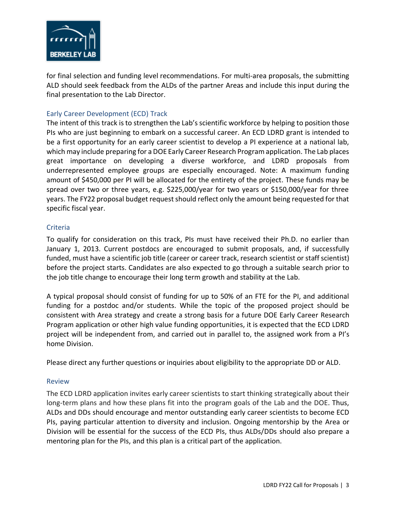

for final selection and funding level recommendations. For multi-area proposals, the submitting ALD should seek feedback from the ALDs of the partner Areas and include this input during the final presentation to the Lab Director.

### Early Career Development (ECD) Track

The intent of this track is to strengthen the Lab's scientific workforce by helping to position those PIs who are just beginning to embark on a successful career. An ECD LDRD grant is intended to be a first opportunity for an early career scientist to develop a PI experience at a national lab, which may include preparing for a DOE Early Career Research Program application. The Lab places great importance on developing a diverse workforce, and LDRD proposals from underrepresented employee groups are especially encouraged. Note: A maximum funding amount of \$450,000 per PI will be allocated for the entirety of the project. These funds may be spread over two or three years, e.g. \$225,000/year for two years or \$150,000/year for three years. The FY22 proposal budget request should reflect only the amount being requested for that specific fiscal year.

#### Criteria

To qualify for consideration on this track, PIs must have received their Ph.D. no earlier than January 1, 2013. Current postdocs are encouraged to submit proposals, and, if successfully funded, must have a scientific job title (career or career track, research scientist or staff scientist) before the project starts. Candidates are also expected to go through a suitable search prior to the job title change to encourage their long term growth and stability at the Lab.

A typical proposal should consist of funding for up to 50% of an FTE for the PI, and additional funding for a postdoc and/or students. While the topic of the proposed project should be consistent with Area strategy and create a strong basis for a future DOE Early Career Research Program application or other high value funding opportunities, it is expected that the ECD LDRD project will be independent from, and carried out in parallel to, the assigned work from a PI's home Division.

Please direct any further questions or inquiries about eligibility to the appropriate DD or ALD.

#### Review

The ECD LDRD application invites early career scientists to start thinking strategically about their long-term plans and how these plans fit into the program goals of the Lab and the DOE. Thus, ALDs and DDs should encourage and mentor outstanding early career scientists to become ECD PIs, paying particular attention to diversity and inclusion. Ongoing mentorship by the Area or Division will be essential for the success of the ECD PIs, thus ALDs/DDs should also prepare a mentoring plan for the PIs, and this plan is a critical part of the application.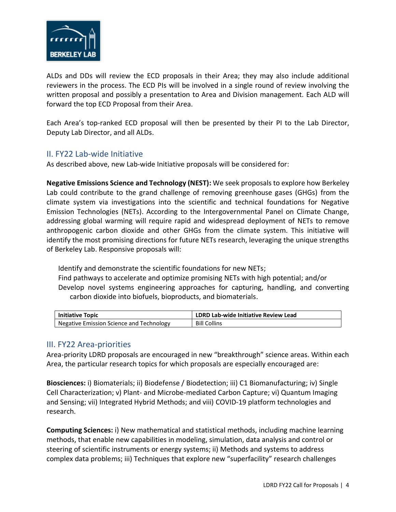

ALDs and DDs will review the ECD proposals in their Area; they may also include additional reviewers in the process. The ECD PIs will be involved in a single round of review involving the written proposal and possibly a presentation to Area and Division management. Each ALD will forward the top ECD Proposal from their Area.

Each Area's top-ranked ECD proposal will then be presented by their PI to the Lab Director, Deputy Lab Director, and all ALDs.

### II. FY22 Lab-wide Initiative

As described above, new Lab-wide Initiative proposals will be considered for:

**Negative Emissions Science and Technology (NEST):** We seek proposals to explore how Berkeley Lab could contribute to the grand challenge of removing greenhouse gases (GHGs) from the climate system via investigations into the scientific and technical foundations for Negative Emission Technologies (NETs). According to the Intergovernmental Panel on Climate Change, addressing global warming will require rapid and widespread deployment of NETs to remove anthropogenic carbon dioxide and other GHGs from the climate system. This initiative will identify the most promising directions for future NETs research, leveraging the unique strengths of Berkeley Lab. Responsive proposals will:

Identify and demonstrate the scientific foundations for new NETs; Find pathways to accelerate and optimize promising NETs with high potential; and/or Develop novel systems engineering approaches for capturing, handling, and converting carbon dioxide into biofuels, bioproducts, and biomaterials.

| <b>Initiative Topic</b>                  | LDRD Lab-wide Initiative Review Lead |
|------------------------------------------|--------------------------------------|
| Negative Emission Science and Technology | <b>Bill Collins</b>                  |

## III. FY22 Area-priorities

Area-priority LDRD proposals are encouraged in new "breakthrough" science areas. Within each Area, the particular research topics for which proposals are especially encouraged are:

**Biosciences:** i) Biomaterials; ii) Biodefense / Biodetection; iii) C1 Biomanufacturing; iv) Single Cell Characterization; v) Plant- and Microbe-mediated Carbon Capture; vi) Quantum Imaging and Sensing; vii) Integrated Hybrid Methods; and viii) COVID-19 platform technologies and research.

**Computing Sciences:** i) New mathematical and statistical methods, including machine learning methods, that enable new capabilities in modeling, simulation, data analysis and control or steering of scientific instruments or energy systems; ii) Methods and systems to address complex data problems; iii) Techniques that explore new "superfacility" research challenges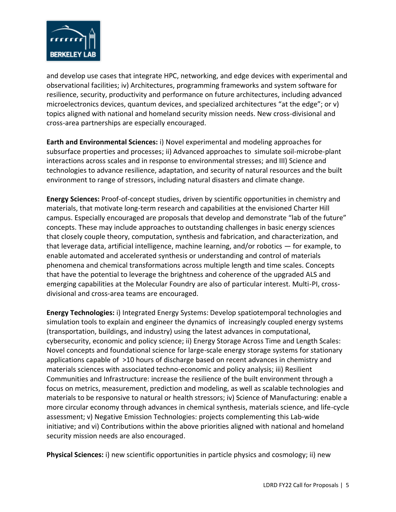

and develop use cases that integrate HPC, networking, and edge devices with experimental and observational facilities; iv) Architectures, programming frameworks and system software for resilience, security, productivity and performance on future architectures, including advanced microelectronics devices, quantum devices, and specialized architectures "at the edge"; or v) topics aligned with national and homeland security mission needs. New cross-divisional and cross-area partnerships are especially encouraged.

**Earth and Environmental Sciences:** i) Novel experimental and modeling approaches for subsurface properties and processes; ii) Advanced approaches to simulate soil-microbe-plant interactions across scales and in response to environmental stresses; and III) Science and technologies to advance resilience, adaptation, and security of natural resources and the built environment to range of stressors, including natural disasters and climate change.

**Energy Sciences:** Proof-of-concept studies, driven by scientific opportunities in chemistry and materials, that motivate long-term research and capabilities at the envisioned Charter Hill campus. Especially encouraged are proposals that develop and demonstrate "lab of the future" concepts. These may include approaches to outstanding challenges in basic energy sciences that closely couple theory, computation, synthesis and fabrication, and characterization, and that leverage data, artificial intelligence, machine learning, and/or robotics — for example, to enable automated and accelerated synthesis or understanding and control of materials phenomena and chemical transformations across multiple length and time scales. Concepts that have the potential to leverage the brightness and coherence of the upgraded ALS and emerging capabilities at the Molecular Foundry are also of particular interest. Multi-PI, crossdivisional and cross-area teams are encouraged.

**Energy Technologies:** i) Integrated Energy Systems: Develop spatiotemporal technologies and simulation tools to explain and engineer the dynamics of increasingly coupled energy systems (transportation, buildings, and industry) using the latest advances in computational, cybersecurity, economic and policy science; ii) Energy Storage Across Time and Length Scales: Novel concepts and foundational science for large-scale energy storage systems for stationary applications capable of >10 hours of discharge based on recent advances in chemistry and materials sciences with associated techno-economic and policy analysis; iii) Resilient Communities and Infrastructure: increase the resilience of the built environment through a focus on metrics, measurement, prediction and modeling, as well as scalable technologies and materials to be responsive to natural or health stressors; iv) Science of Manufacturing: enable a more circular economy through advances in chemical synthesis, materials science, and life-cycle assessment; v) Negative Emission Technologies: projects complementing this Lab-wide initiative; and vi) Contributions within the above priorities aligned with national and homeland security mission needs are also encouraged.

**Physical Sciences:** i) new scientific opportunities in particle physics and cosmology; ii) new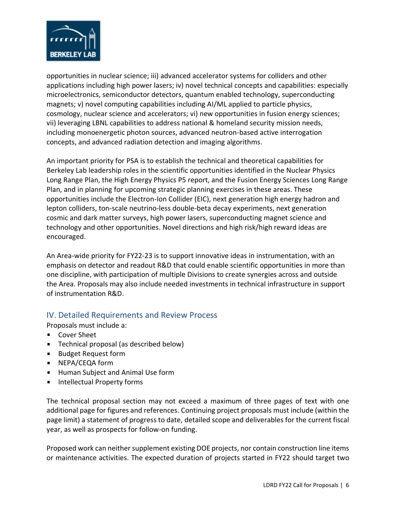

opportunities in nuclear science; iii) advanced accelerator systems for colliders and other applications including high power lasers; iv) novel technical concepts and capabilities: especially microelectronics, semiconductor detectors, quantum enabled technology, superconducting magnets; v) novel computing capabilities including AI/ML applied to particle physics, cosmology, nuclear science and accelerators; vi) new opportunities in fusion energy sciences; vii) leveraging LBNL capabilities to address national & homeland security mission needs, including monoenergetic photon sources, advanced neutron-based active interrogation concepts, and advanced radiation detection and imaging algorithms.

An important priority for PSA is to establish the technical and theoretical capabilities for Berkeley Lab leadership roles in the scientific opportunities identified in the Nuclear Physics Long Range Plan, the High Energy Physics P5 report, and the Fusion Energy Sciences Long Range Plan, and in planning for upcoming strategic planning exercises in these areas. These opportunities include the Electron-Ion Collider (EIC), next generation high energy hadron and lepton colliders, ton-scale neutrino-less double-beta decay experiments, next generation cosmic and dark matter surveys, high power lasers, superconducting magnet science and technology and other opportunities. Novel directions and high risk/high reward ideas are encouraged.

An Area-wide priority for FY22-23 is to support innovative ideas in instrumentation, with an emphasis on detector and readout R&D that could enable scientific opportunities in more than one discipline, with participation of multiple Divisions to create synergies across and outside the Area. Proposals may also include needed investments in technical infrastructure in support of instrumentation R&D.

### IV. Detailed Requirements and Review Process

Proposals must include a:

- **Cover Sheet**
- $\mathbf{u}$ Technical proposal (as described below)
- **Budget Request form**
- **NEPA/CEQA form**
- **Human Subject and Animal Use form**
- **Intellectual Property forms**

The technical proposal section may not exceed a maximum of three pages of text with one additional page for figures and references. Continuing project proposals must include (within the page limit) a statement of progress to date, detailed scope and deliverables for the current fiscal year, as well as prospects for follow-on funding.

Proposed work can neither supplement existing DOE projects, nor contain construction line items or maintenance activities. The expected duration of projects started in FY22 should target two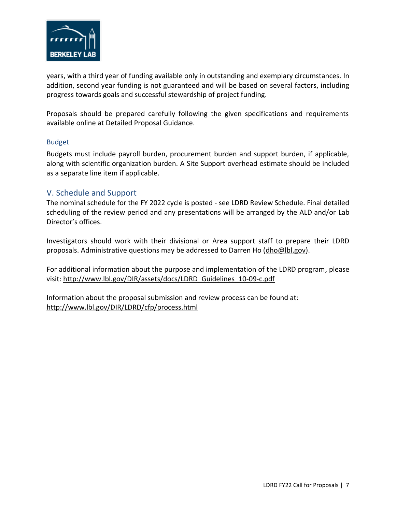

years, with a third year of funding available only in outstanding and exemplary circumstances. In addition, second year funding is not guaranteed and will be based on several factors, including progress towards goals and successful stewardship of project funding.

Proposals should be prepared carefully following the given specifications and requirements available online at [Detailed Proposal Guidance.](http://www.lbl.gov/dir/LDRD/cfp/guidance.html)

#### Budget

Budgets must include payroll burden, procurement burden and support burden, if applicable, along with scientific organization burden. A Site Support overhead estimate should be included as a separate line item if applicable.

### V. Schedule and Support

The nominal schedule for the FY 2022 cycle is posted - [see LDRD Review Schedule.](http://www.lbl.gov/DIR/LDRD/cfp/schedule.html) Final detailed scheduling of the review period and any presentations will be arranged by the ALD and/or Lab Director's offices.

Investigators should work with their divisional or Area support staff to prepare their LDRD proposals. Administrative questions may be addressed to Darren Ho [\(dho@lbl.gov\)](mailto:dho@lbl.gov).

For additional information about the purpose and implementation of the LDRD program, please visit: [http://www.lbl.gov/DIR/assets/docs/LDRD\\_Guidelines\\_10-09-c.pdf](http://www.lbl.gov/DIR/assets/docs/LDRD_Guidelines_10-09-c.pdf)

Information about the proposal submission and review process can be found at: <http://www.lbl.gov/DIR/LDRD/cfp/process.html>